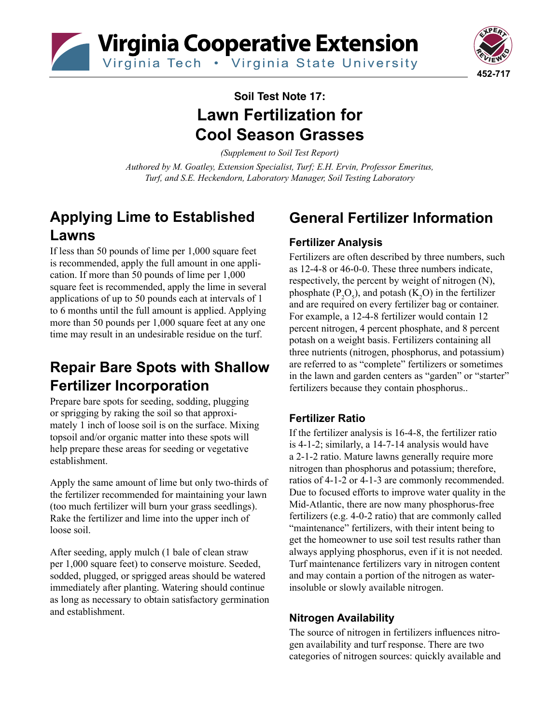Virginia Cooperative Extension

Virginia Tech . Virginia State University



# **Soil Test Note 17: Lawn Fertilization for Cool Season Grasses**

*(Supplement to Soil Test Report)*

*Authored by M. Goatley, Extension Specialist, Turf; E.H. Ervin, Professor Emeritus, Turf, and S.E. Heckendorn, Laboratory Manager, Soil Testing Laboratory*

## **Applying Lime to Established Lawns**

If less than 50 pounds of lime per 1,000 square feet is recommended, apply the full amount in one application. If more than 50 pounds of lime per 1,000 square feet is recommended, apply the lime in several applications of up to 50 pounds each at intervals of 1 to 6 months until the full amount is applied. Applying more than 50 pounds per 1,000 square feet at any one time may result in an undesirable residue on the turf.

## **Repair Bare Spots with Shallow Fertilizer Incorporation**

Prepare bare spots for seeding, sodding, plugging or sprigging by raking the soil so that approximately 1 inch of loose soil is on the surface. Mixing topsoil and/or organic matter into these spots will help prepare these areas for seeding or vegetative establishment.

Apply the same amount of lime but only two-thirds of the fertilizer recommended for maintaining your lawn (too much fertilizer will burn your grass seedlings). Rake the fertilizer and lime into the upper inch of loose soil.

After seeding, apply mulch (1 bale of clean straw per 1,000 square feet) to conserve moisture. Seeded, sodded, plugged, or sprigged areas should be watered immediately after planting. Watering should continue as long as necessary to obtain satisfactory germination and establishment.

# **General Fertilizer Information**

#### **Fertilizer Analysis**

Fertilizers are often described by three numbers, such as 12-4-8 or 46-0-0. These three numbers indicate, respectively, the percent by weight of nitrogen (N), phosphate ( $P_2O_5$ ), and potash ( $K_2O$ ) in the fertilizer and are required on every fertilizer bag or container. For example, a 12-4-8 fertilizer would contain 12 percent nitrogen, 4 percent phosphate, and 8 percent potash on a weight basis. Fertilizers containing all three nutrients (nitrogen, phosphorus, and potassium) are referred to as "complete" fertilizers or sometimes in the lawn and garden centers as "garden" or "starter" fertilizers because they contain phosphorus..

### **Fertilizer Ratio**

If the fertilizer analysis is 16-4-8, the fertilizer ratio is 4-1-2; similarly, a 14-7-14 analysis would have a 2-1-2 ratio. Mature lawns generally require more nitrogen than phosphorus and potassium; therefore, ratios of 4-1-2 or 4-1-3 are commonly recommended. Due to focused efforts to improve water quality in the Mid-Atlantic, there are now many phosphorus-free fertilizers (e.g. 4-0-2 ratio) that are commonly called "maintenance" fertilizers, with their intent being to get the homeowner to use soil test results rather than always applying phosphorus, even if it is not needed. Turf maintenance fertilizers vary in nitrogen content and may contain a portion of the nitrogen as waterinsoluble or slowly available nitrogen.

#### **Nitrogen Availability**

The source of nitrogen in fertilizers influences nitrogen availability and turf response. There are two categories of nitrogen sources: quickly available and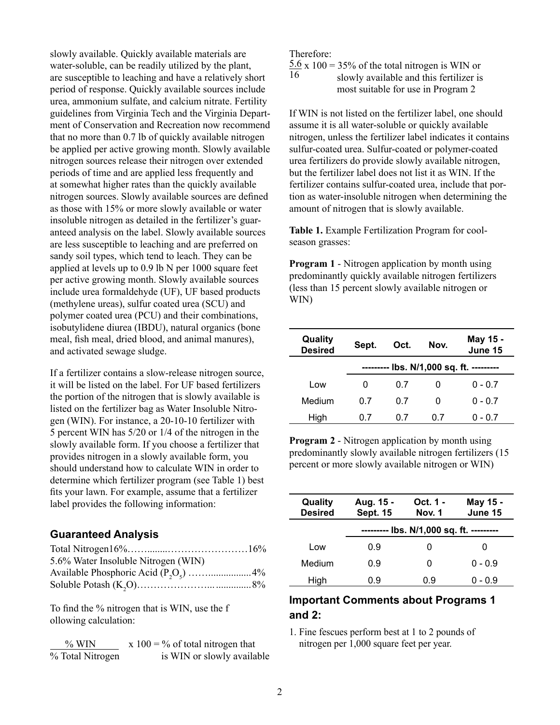slowly available. Quickly available materials are water-soluble, can be readily utilized by the plant, are susceptible to leaching and have a relatively short period of response. Quickly available sources include urea, ammonium sulfate, and calcium nitrate. Fertility guidelines from Virginia Tech and the Virginia Department of Conservation and Recreation now recommend that no more than 0.7 lb of quickly available nitrogen be applied per active growing month. Slowly available nitrogen sources release their nitrogen over extended periods of time and are applied less frequently and at somewhat higher rates than the quickly available nitrogen sources. Slowly available sources are defined as those with 15% or more slowly available or water insoluble nitrogen as detailed in the fertilizer's guaranteed analysis on the label. Slowly available sources are less susceptible to leaching and are preferred on sandy soil types, which tend to leach. They can be applied at levels up to 0.9 lb N per 1000 square feet per active growing month. Slowly available sources include urea formaldehyde (UF), UF based products (methylene ureas), sulfur coated urea (SCU) and polymer coated urea (PCU) and their combinations, isobutylidene diurea (IBDU), natural organics (bone meal, fish meal, dried blood, and animal manures), and activated sewage sludge.

If a fertilizer contains a slow-release nitrogen source, it will be listed on the label. For UF based fertilizers the portion of the nitrogen that is slowly available is listed on the fertilizer bag as Water Insoluble Nitrogen (WIN). For instance, a 20-10-10 fertilizer with 5 percent WIN has 5/20 or 1/4 of the nitrogen in the slowly available form. If you choose a fertilizer that provides nitrogen in a slowly available form, you should understand how to calculate WIN in order to determine which fertilizer program (see Table 1) best fits your lawn. For example, assume that a fertilizer label provides the following information:

#### **Guaranteed Analysis**

| 5.6% Water Insoluble Nitrogen (WIN) |  |
|-------------------------------------|--|
|                                     |  |
|                                     |  |
|                                     |  |

To find the % nitrogen that is WIN, use the f ollowing calculation:

| $\%$ WIN         | x 100 = $\%$ of total nitrogen that |
|------------------|-------------------------------------|
| % Total Nitrogen | is WIN or slowly available          |

Therefore:

 $\frac{5.6 \times 100}{16}$  = 35% of the total nitrogen is WIN or slowly available and this fertilizer is slowly available and this fertilizer is most suitable for use in Program 2

If WIN is not listed on the fertilizer label, one should assume it is all water-soluble or quickly available nitrogen, unless the fertilizer label indicates it contains sulfur-coated urea. Sulfur-coated or polymer-coated urea fertilizers do provide slowly available nitrogen, but the fertilizer label does not list it as WIN. If the fertilizer contains sulfur-coated urea, include that portion as water-insoluble nitrogen when determining the amount of nitrogen that is slowly available.

**Table 1.** Example Fertilization Program for coolseason grasses:

**Program 1** - Nitrogen application by month using predominantly quickly available nitrogen fertilizers (less than 15 percent slowly available nitrogen or WIN)

| Quality<br><b>Desired</b> | Sept.   | Oct. | Nov. | May 15 -<br>June 15            |
|---------------------------|---------|------|------|--------------------------------|
|                           | ------- |      |      | lbs. N/1,000 sq. ft. --------- |
| Low                       | 0       | 0.7  |      | $0 - 0.7$                      |
| Medium                    | 0 7     | 0 7  | O    | $0 - 0.7$                      |
| High                      | 07      | 0.7  | 07   | $0 - 0.7$                      |

**Program 2** - Nitrogen application by month using predominantly slowly available nitrogen fertilizers (15 percent or more slowly available nitrogen or WIN)

| Quality<br><b>Desired</b> | Aug. 15 -<br><b>Sept. 15</b>             | Oct. 1 -<br>Nov. 1 | May 15 -<br>June 15 |
|---------------------------|------------------------------------------|--------------------|---------------------|
|                           | --------- lbs. N/1,000 sq. ft. --------- |                    |                     |
| Low                       | 0.9                                      | O                  |                     |
| Medium                    | 0.9                                      | O                  | $0 - 0.9$           |
| High                      | 0.9                                      | 0.9                | 0 - 0.9             |

#### **Important Comments about Programs 1 and 2:**

1. Fine fescues perform best at 1 to 2 pounds of nitrogen per 1,000 square feet per year.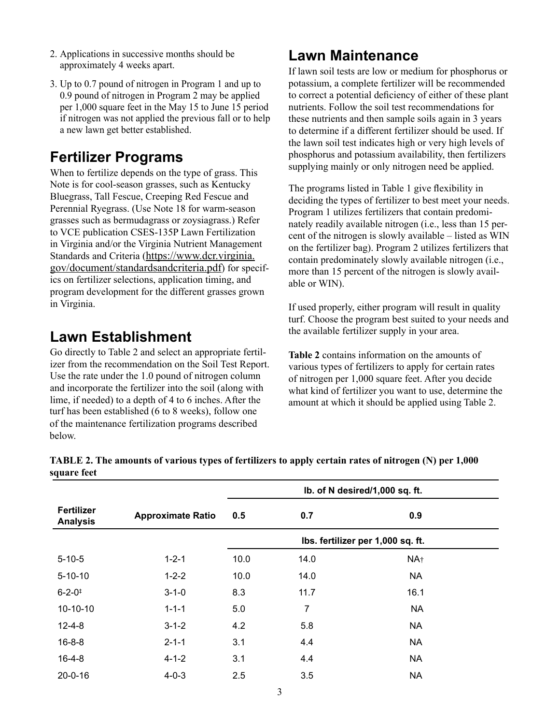- 2. Applications in successive months should be approximately 4 weeks apart.
- 3. Up to 0.7 pound of nitrogen in Program 1 and up to 0.9 pound of nitrogen in Program 2 may be applied per 1,000 square feet in the May 15 to June 15 period if nitrogen was not applied the previous fall or to help a new lawn get better established.

### **Fertilizer Programs**

When to fertilize depends on the type of grass. This Note is for cool-season grasses, such as Kentucky Bluegrass, Tall Fescue, Creeping Red Fescue and Perennial Ryegrass. (Use Note 18 for warm-season grasses such as bermudagrass or zoysiagrass.) Refer to VCE publication CSES-135P Lawn Fertilization in Virginia and/or the Virginia Nutrient Management Standards and Criteria [\(https://www.dcr.virginia.](https://www.dcr.virginia.gov/document/standardsandcriteria.pdf) [gov/document/standardsandcriteria.pdf](https://www.dcr.virginia.gov/document/standardsandcriteria.pdf)) for specifics on fertilizer selections, application timing, and program development for the different grasses grown in Virginia.

### **Lawn Establishment**

Go directly to Table 2 and select an appropriate fertilizer from the recommendation on the Soil Test Report. Use the rate under the 1.0 pound of nitrogen column and incorporate the fertilizer into the soil (along with lime, if needed) to a depth of 4 to 6 inches. After the lime, if needed) to a depth of 4 to 6 inches. After the amount at which it should be applied using Table 2. turf has been established (6 to 8 weeks), follow one of the maintenance fertilization programs described below.

### **Lawn Maintenance**

If lawn soil tests are low or medium for phosphorus or potassium, a complete fertilizer will be recommended to correct a potential deficiency of either of these plant nutrients. Follow the soil test recommendations for these nutrients and then sample soils again in 3 years to determine if a different fertilizer should be used. If the lawn soil test indicates high or very high levels of phosphorus and potassium availability, then fertilizers supplying mainly or only nitrogen need be applied.

The programs listed in Table 1 give flexibility in deciding the types of fertilizer to best meet your needs. Program 1 utilizes fertilizers that contain predominately readily available nitrogen (i.e., less than 15 percent of the nitrogen is slowly available – listed as WIN on the fertilizer bag). Program 2 utilizes fertilizers that contain predominately slowly available nitrogen (i.e., more than 15 percent of the nitrogen is slowly available or WIN).

If used properly, either program will result in quality turf. Choose the program best suited to your needs and the available fertilizer supply in your area.

**Table 2** contains information on the amounts of various types of fertilizers to apply for certain rates of nitrogen per 1,000 square feet. After you decide what kind of fertilizer you want to use, determine the

| and a series of the series of the series of the series of the series of the series of the series of the series |                          |                                |      |                                   |  |
|----------------------------------------------------------------------------------------------------------------|--------------------------|--------------------------------|------|-----------------------------------|--|
|                                                                                                                |                          | Ib. of N desired/1,000 sq. ft. |      |                                   |  |
| <b>Fertilizer</b><br><b>Analysis</b>                                                                           | <b>Approximate Ratio</b> | 0.5                            | 0.7  | 0.9                               |  |
|                                                                                                                |                          |                                |      | Ibs. fertilizer per 1,000 sq. ft. |  |
| $5 - 10 - 5$                                                                                                   | $1 - 2 - 1$              | 10.0                           | 14.0 | NA <sub>†</sub>                   |  |
| $5 - 10 - 10$                                                                                                  | $1 - 2 - 2$              | 10.0                           | 14.0 | <b>NA</b>                         |  |
| $6 - 2 - 0$ <sup>#</sup>                                                                                       | $3 - 1 - 0$              | 8.3                            | 11.7 | 16.1                              |  |
| $10-10-10$                                                                                                     | $1 - 1 - 1$              | 5.0                            | 7    | <b>NA</b>                         |  |
| $12 - 4 - 8$                                                                                                   | $3 - 1 - 2$              | 4.2                            | 5.8  | <b>NA</b>                         |  |
| $16 - 8 - 8$                                                                                                   | $2 - 1 - 1$              | 3.1                            | 4.4  | <b>NA</b>                         |  |
| $16 - 4 - 8$                                                                                                   | $4 - 1 - 2$              | 3.1                            | 4.4  | <b>NA</b>                         |  |
| $20 - 0 - 16$                                                                                                  | $4 - 0 - 3$              | 2.5                            | 3.5  | <b>NA</b>                         |  |

**TABLE 2. The amounts of various types of fertilizers to apply certain rates of nitrogen (N) per 1,000 square feet**